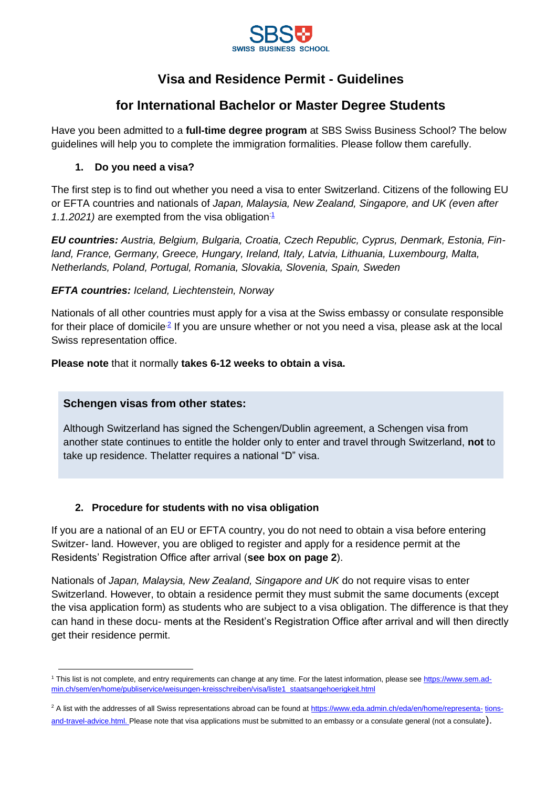

# **Visa and Residence Permit - Guidelines**

## **for International Bachelor or Master Degree Students**

Have you been admitted to a **full-time degree program** at SBS Swiss Business School? The below guidelines will help you to complete the immigration formalities. Please follow them carefully.

### **1. Do you need a visa?**

The first step is to find out whether you need a visa to enter Switzerland. Citizens of the following EU or EFTA countries and nationals of *Japan, Malaysia, New Zealand, Singapore, and UK (even after*  1.1.2021) are exempted from the visa obligation<sup>[:1](#page-0-0)</sup>

*EU countries: Austria, Belgium, Bulgaria, Croatia, Czech Republic, Cyprus, Denmark, Estonia, Finland, France, Germany, Greece, Hungary, Ireland, Italy, Latvia, Lithuania, Luxembourg, Malta, Netherlands, Poland, Portugal, Romania, Slovakia, Slovenia, Spain, Sweden*

### *EFTA countries: Iceland, Liechtenstein, Norway*

Nationals of all other countries must apply for a visa at the Swiss embassy or consulate responsible for their place of domicile<sup>2</sup> If you are unsure whether or not you need a visa, please ask at the local Swiss representation office.

**Please note** that it normally **takes 6-12 weeks to obtain a visa.**

### **Schengen visas from other states:**

Although Switzerland has signed the Schengen/Dublin agreement, a Schengen visa from another state continues to entitle the holder only to enter and travel through Switzerland, **not** to take up residence. Thelatter requires a national "D" visa.

## **2. Procedure for students with no visa obligation**

If you are a national of an EU or EFTA country, you do not need to obtain a visa before entering Switzer- land. However, you are obliged to register and apply for a residence permit at the Residents' Registration Office after arrival (**see box on page 2**).

Nationals of *Japan, Malaysia, New Zealand, Singapore and UK* do not require visas to enter Switzerland. However, to obtain a residence permit they must submit the same documents (except the visa application form) as students who are subject to a visa obligation. The difference is that they can hand in these docu- ments at the Resident's Registration Office after arrival and will then directly get their residence permit.

<span id="page-0-0"></span><sup>&</sup>lt;sup>1</sup> This list is not complete, and entry requirements can change at any time. For the latest information, please see [https://www.sem.ad](https://www.sem.admin.ch/sem/en/home/publiservice/weisungen-kreisschreiben/visa/liste1_staatsangehoerigkeit.html)[min.ch/sem/en/home/publiservice/weisungen-kreisschreiben/visa/liste1\\_staatsangehoerigkeit.html](https://www.sem.admin.ch/sem/en/home/publiservice/weisungen-kreisschreiben/visa/liste1_staatsangehoerigkeit.html)

<span id="page-0-1"></span><sup>&</sup>lt;sup>2</sup> A list with the addresses of all Swiss representations abroad can be found a[t https://www.eda.admin.ch/eda/en/home/representa-](https://www.eda.admin.ch/eda/en/home/representations-and-travel-advice.html) [tions](https://www.eda.admin.ch/eda/en/home/representations-and-travel-advice.html)[and-travel-advice.html. P](https://www.eda.admin.ch/eda/en/home/representations-and-travel-advice.html)lease note that visa applications must be submitted to an embassy or a consulate general (not a consulate).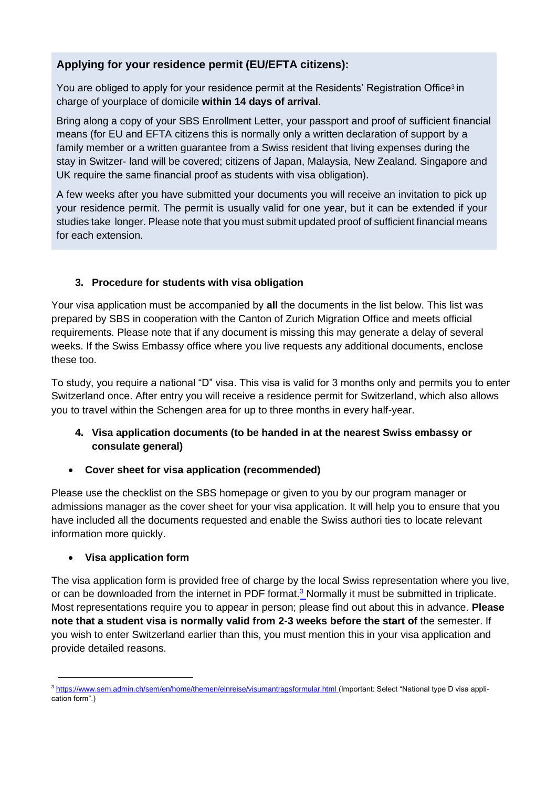## **Applying for your residence permit (EU/EFTA citizens):**

You ar[e](#page-1-0) obliged to apply for your residence permit at the Residents' Registration Office<sup>3</sup> in charge of yourplace of domicile **within 14 days of arrival**.

Bring along a copy of your SBS Enrollment Letter, your passport and proof of sufficient financial means (for EU and EFTA citizens this is normally only a written declaration of support by a family member or a written guarantee from a Swiss resident that living expenses during the stay in Switzer- land will be covered; citizens of Japan, Malaysia, New Zealand. Singapore and UK require the same financial proof as students with visa obligation).

A few weeks after you have submitted your documents you will receive an invitation to pick up your residence permit. The permit is usually valid for one year, but it can be extended if your studies take longer. Please note that you must submit updated proof of sufficient financial means for each extension.

## **3. Procedure for students with visa obligation**

Your visa application must be accompanied by **all** the documents in the list below. This list was prepared by SBS in cooperation with the Canton of Zurich Migration Office and meets official requirements. Please note that if any document is missing this may generate a delay of several weeks. If the Swiss Embassy office where you live requests any additional documents, enclose these too.

To study, you require a national "D" visa. This visa is valid for 3 months only and permits you to enter Switzerland once. After entry you will receive a residence permit for Switzerland, which also allows you to travel within the Schengen area for up to three months in every half-year.

### **4. Visa application documents (to be handed in at the nearest Swiss embassy or consulate general)**

## • **Cover sheet for visa application (recommended)**

Please use the checklist on the SBS homepage or given to you by our program manager or admissions manager as the cover sheet for your visa application. It will help you to ensure that you have included all the documents requested and enable the Swiss authori ties to locate relevant information more quickly.

### • **Visa application form**

The visa application form is provided free of charge by the local Swiss representation where you live, or can be downloaded from the internet in PDF format.<sup>3</sup> [N](#page-1-0)ormally it must be submitted in triplicate. Most representations require you to appear in person; please find out about this in advance. **Please note that a student visa is normally valid from 2-3 weeks before the start of** the semester. If you wish to enter Switzerland earlier than this, you must mention this in your visa application and provide detailed reasons.

<span id="page-1-0"></span><sup>&</sup>lt;sup>3</sup> [https://www.sem.admin.ch/sem/en/home/themen/einreise/visumantragsformular.html \(](https://www.sem.admin.ch/sem/en/home/themen/einreise/visumantragsformular.html)Important: Select "National type D visa application form".)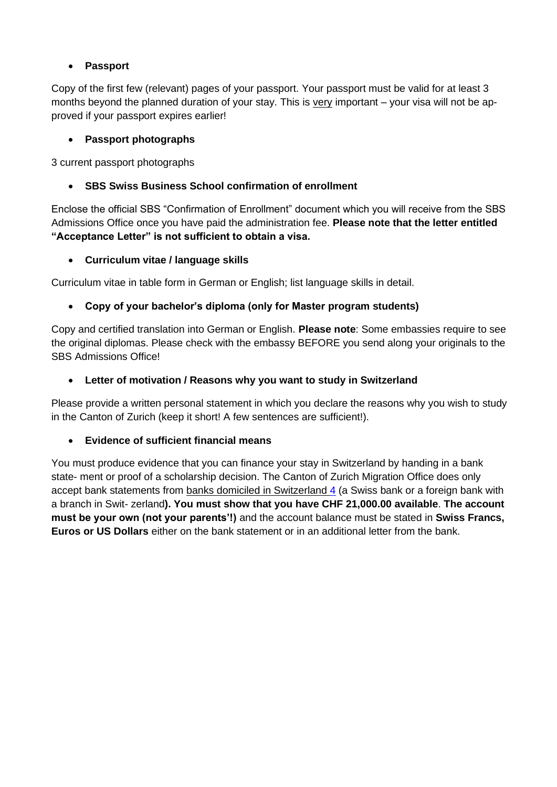## • **Passport**

Copy of the first few (relevant) pages of your passport. Your passport must be valid for at least 3 months beyond the planned duration of your stay. This is  $very$  important  $-$  your visa will not be approved if your passport expires earlier!

#### • **Passport photographs**

3 current passport photographs

#### • **SBS Swiss Business School confirmation of enrollment**

Enclose the official SBS "Confirmation of Enrollment" document which you will receive from the SBS Admissions Office once you have paid the administration fee. **Please note that the letter entitled "Acceptance Letter" is not sufficient to obtain a visa.**

#### • **Curriculum vitae / language skills**

Curriculum vitae in table form in German or English; list language skills in detail.

### • **Copy of your bachelor's diploma (only for Master program students)**

Copy and certified translation into German or English. **Please note**: Some embassies require to see the original diplomas. Please check with the embassy BEFORE you send along your originals to the SBS Admissions Office!

#### • **Letter of motivation / Reasons why you want to study in Switzerland**

Please provide a written personal statement in which you declare the reasons why you wish to study in the Canton of Zurich (keep it short! A few sentences are sufficient!).

### • **Evidence of sufficient financial means**

You must produce evidence that you can finance your stay in Switzerland by handing in a bank state- ment or proof of a scholarship decision. The Canton of Zurich Migration Office does only accept bank statements from banks domiciled in Switzerland [4](#page-3-0) (a Swiss bank or a foreign bank with a branch in Swit- zerland**). You must show that you have CHF 21,000.00 available**. **The account must be your own (not your parents'!)** and the account balance must be stated in **Swiss Francs, Euros or US Dollars** either on the bank statement or in an additional letter from the bank.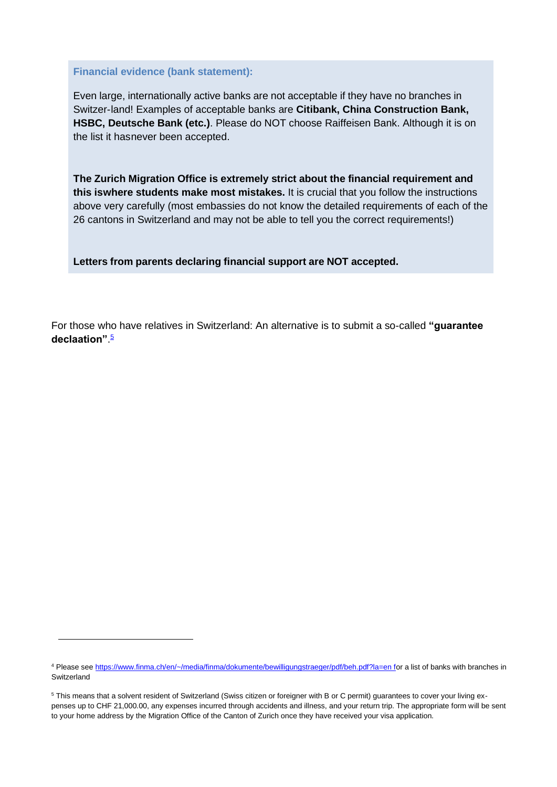#### **Financial evidence (bank statement):**

Even large, internationally active banks are not acceptable if they have no branches in Switzer-land! Examples of acceptable banks are **Citibank, China Construction Bank, HSBC, Deutsche Bank (etc.)**. Please do NOT choose Raiffeisen Bank. Although it is on the list it hasnever been accepted.

**The Zurich Migration Office is extremely strict about the financial requirement and this iswhere students make most mistakes.** It is crucial that you follow the instructions above very carefully (most embassies do not know the detailed requirements of each of the 26 cantons in Switzerland and may not be able to tell you the correct requirements!)

**Letters from parents declaring financial support are NOT accepted.**

For those who have relatives in Switzerland: An alternative is to submit a so-called **"guarantee declaation"**. [5](#page-3-1)

<span id="page-3-0"></span><sup>4</sup> Please see [https://www.finma.ch/en/~/media/finma/dokumente/bewilligungstraeger/pdf/beh.pdf?la=en fo](https://www.finma.ch/en/~/media/finma/dokumente/bewilligungstraeger/pdf/beh.pdf?la=en)r a list of banks with branches in Switzerland

<span id="page-3-1"></span><sup>&</sup>lt;sup>5</sup> This means that a solvent resident of Switzerland (Swiss citizen or foreigner with B or C permit) guarantees to cover your living expenses up to CHF 21,000.00, any expenses incurred through accidents and illness, and your return trip. The appropriate form will be sent to your home address by the Migration Office of the Canton of Zurich once they have received your visa application.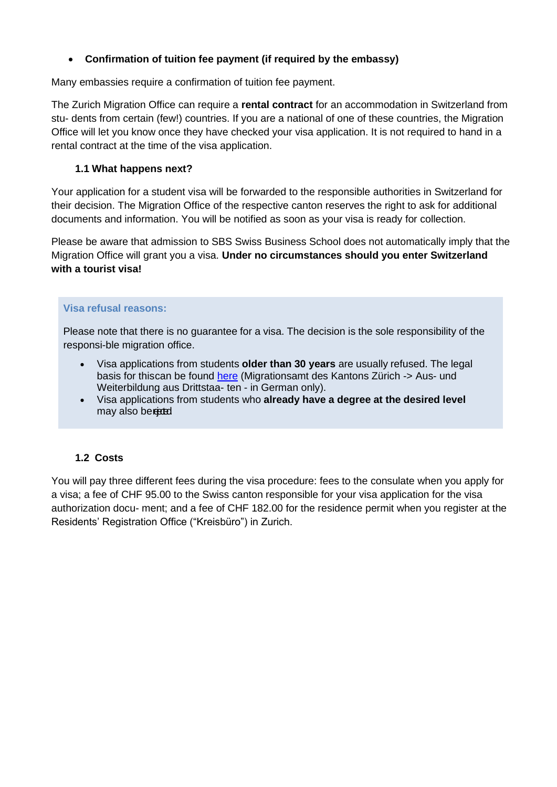### • **Confirmation of tuition fee payment (if required by the embassy)**

Many embassies require a confirmation of tuition fee payment.

The Zurich Migration Office can require a **rental contract** for an accommodation in Switzerland from stu- dents from certain (few!) countries. If you are a national of one of these countries, the Migration Office will let you know once they have checked your visa application. It is not required to hand in a rental contract at the time of the visa application.

#### **1.1 What happens next?**

Your application for a student visa will be forwarded to the responsible authorities in Switzerland for their decision. The Migration Office of the respective canton reserves the right to ask for additional documents and information. You will be notified as soon as your visa is ready for collection.

Please be aware that admission to SBS Swiss Business School does not automatically imply that the Migration Office will grant you a visa. **Under no circumstances should you enter Switzerland with a tourist visa!**

#### **Visa refusal reasons:**

Please note that there is no guarantee for a visa. The decision is the sole responsibility of the responsi-ble migration office.

- Visa applications from students **older than 30 years** are usually refused. The legal basis for thiscan be found [here](https://www.zh.ch/de/migration-integration/einreise-aufenthalt/aufenthalte-ohne-erwerbstaetigkeit.html) (Migrationsamt des Kantons Zürich -> Aus- und Weiterbildung aus Drittstaa- ten - in German only).
- Visa applications from students who **already have a degree at the desired level**  may also bereed.

### **1.2 Costs**

You will pay three different fees during the visa procedure: fees to the consulate when you apply for a visa; a fee of CHF 95.00 to the Swiss canton responsible for your visa application for the visa authorization docu- ment; and a fee of CHF 182.00 for the residence permit when you register at the Residents' Registration Office ("Kreisbüro") in Zurich.